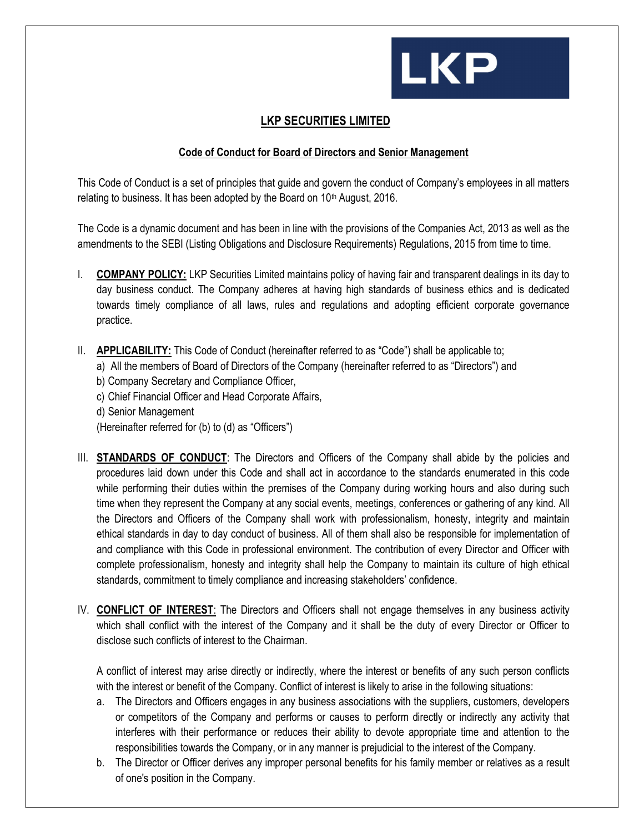

## LKP SECURITIES LIMITED

## Code of Conduct for Board of Directors and Senior Management

This Code of Conduct is a set of principles that guide and govern the conduct of Company's employees in all matters relating to business. It has been adopted by the Board on 10<sup>th</sup> August, 2016.

The Code is a dynamic document and has been in line with the provisions of the Companies Act, 2013 as well as the amendments to the SEBI (Listing Obligations and Disclosure Requirements) Regulations, 2015 from time to time.

- I. COMPANY POLICY: LKP Securities Limited maintains policy of having fair and transparent dealings in its day to day business conduct. The Company adheres at having high standards of business ethics and is dedicated towards timely compliance of all laws, rules and regulations and adopting efficient corporate governance practice.
- II. APPLICABILITY: This Code of Conduct (hereinafter referred to as "Code") shall be applicable to;
	- a) All the members of Board of Directors of the Company (hereinafter referred to as "Directors") and
	- b) Company Secretary and Compliance Officer,
	- c) Chief Financial Officer and Head Corporate Affairs,
	- d) Senior Management
	- (Hereinafter referred for (b) to (d) as "Officers")
- III. STANDARDS OF CONDUCT: The Directors and Officers of the Company shall abide by the policies and procedures laid down under this Code and shall act in accordance to the standards enumerated in this code while performing their duties within the premises of the Company during working hours and also during such time when they represent the Company at any social events, meetings, conferences or gathering of any kind. All the Directors and Officers of the Company shall work with professionalism, honesty, integrity and maintain ethical standards in day to day conduct of business. All of them shall also be responsible for implementation of and compliance with this Code in professional environment. The contribution of every Director and Officer with complete professionalism, honesty and integrity shall help the Company to maintain its culture of high ethical standards, commitment to timely compliance and increasing stakeholders' confidence.
- IV. CONFLICT OF INTEREST: The Directors and Officers shall not engage themselves in any business activity which shall conflict with the interest of the Company and it shall be the duty of every Director or Officer to disclose such conflicts of interest to the Chairman.

A conflict of interest may arise directly or indirectly, where the interest or benefits of any such person conflicts with the interest or benefit of the Company. Conflict of interest is likely to arise in the following situations:

- a. The Directors and Officers engages in any business associations with the suppliers, customers, developers or competitors of the Company and performs or causes to perform directly or indirectly any activity that interferes with their performance or reduces their ability to devote appropriate time and attention to the responsibilities towards the Company, or in any manner is prejudicial to the interest of the Company.
- b. The Director or Officer derives any improper personal benefits for his family member or relatives as a result of one's position in the Company.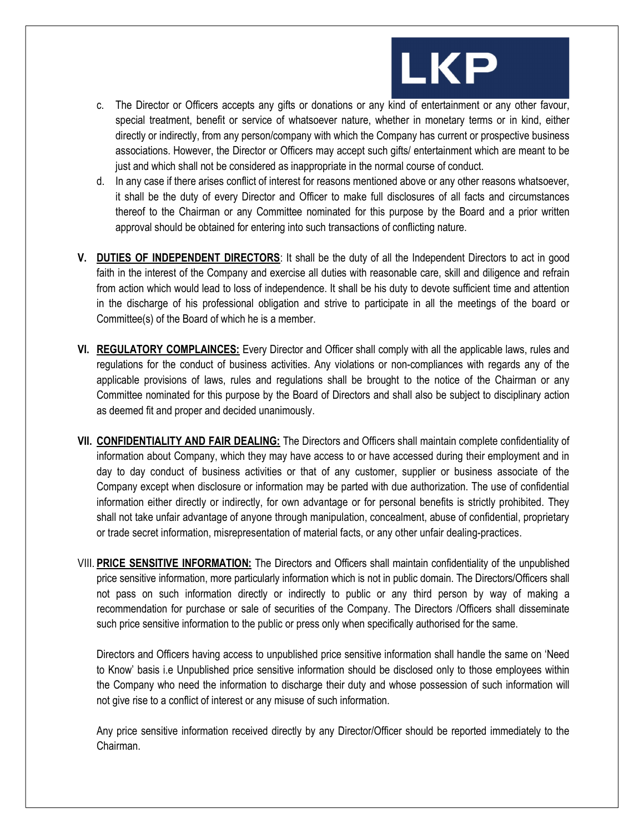

- c. The Director or Officers accepts any gifts or donations or any kind of entertainment or any other favour, special treatment, benefit or service of whatsoever nature, whether in monetary terms or in kind, either directly or indirectly, from any person/company with which the Company has current or prospective business associations. However, the Director or Officers may accept such gifts/ entertainment which are meant to be just and which shall not be considered as inappropriate in the normal course of conduct.
- d. In any case if there arises conflict of interest for reasons mentioned above or any other reasons whatsoever, it shall be the duty of every Director and Officer to make full disclosures of all facts and circumstances thereof to the Chairman or any Committee nominated for this purpose by the Board and a prior written approval should be obtained for entering into such transactions of conflicting nature.
- V. DUTIES OF INDEPENDENT DIRECTORS: It shall be the duty of all the Independent Directors to act in good faith in the interest of the Company and exercise all duties with reasonable care, skill and diligence and refrain from action which would lead to loss of independence. It shall be his duty to devote sufficient time and attention in the discharge of his professional obligation and strive to participate in all the meetings of the board or Committee(s) of the Board of which he is a member.
- VI. REGULATORY COMPLAINCES: Every Director and Officer shall comply with all the applicable laws, rules and regulations for the conduct of business activities. Any violations or non-compliances with regards any of the applicable provisions of laws, rules and regulations shall be brought to the notice of the Chairman or any Committee nominated for this purpose by the Board of Directors and shall also be subject to disciplinary action as deemed fit and proper and decided unanimously.
- VII. CONFIDENTIALITY AND FAIR DEALING: The Directors and Officers shall maintain complete confidentiality of information about Company, which they may have access to or have accessed during their employment and in day to day conduct of business activities or that of any customer, supplier or business associate of the Company except when disclosure or information may be parted with due authorization. The use of confidential information either directly or indirectly, for own advantage or for personal benefits is strictly prohibited. They shall not take unfair advantage of anyone through manipulation, concealment, abuse of confidential, proprietary or trade secret information, misrepresentation of material facts, or any other unfair dealing-practices.
- VIII. PRICE SENSITIVE INFORMATION: The Directors and Officers shall maintain confidentiality of the unpublished price sensitive information, more particularly information which is not in public domain. The Directors/Officers shall not pass on such information directly or indirectly to public or any third person by way of making a recommendation for purchase or sale of securities of the Company. The Directors /Officers shall disseminate such price sensitive information to the public or press only when specifically authorised for the same.

Directors and Officers having access to unpublished price sensitive information shall handle the same on 'Need to Know' basis i.e Unpublished price sensitive information should be disclosed only to those employees within the Company who need the information to discharge their duty and whose possession of such information will not give rise to a conflict of interest or any misuse of such information.

Any price sensitive information received directly by any Director/Officer should be reported immediately to the Chairman.